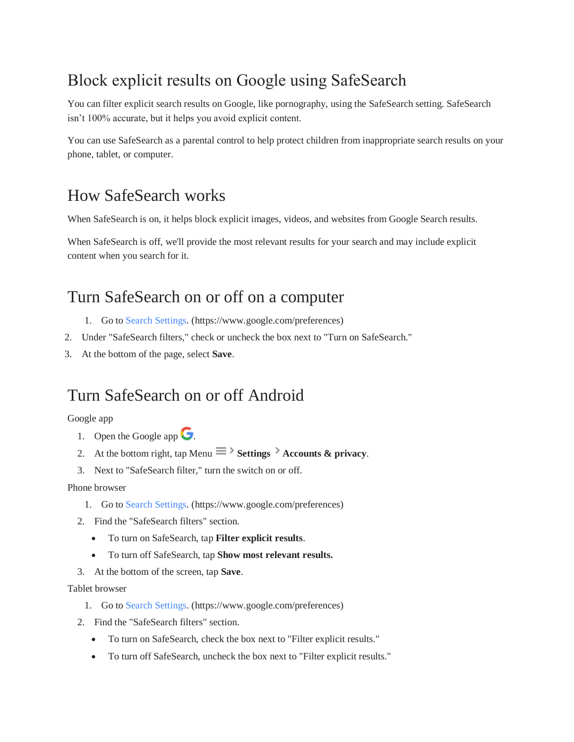# Block explicit results on Google using SafeSearch

You can filter explicit search results on Google, like pornography, using the SafeSearch setting. SafeSearch isn't 100% accurate, but it helps you avoid explicit content.

You can use SafeSearch as a parental control to help protect children from inappropriate search results on your phone, tablet, or computer.

## How SafeSearch works

When SafeSearch is on, it helps block explicit images, videos, and websites from Google Search results.

When SafeSearch is off, we'll provide the most relevant results for your search and may include explicit content when you search for it.

## Turn SafeSearch on or off on a computer

- 1. Go to [Search Settings.](https://www.google.com/preferences) (https://www.google.com/preferences)
- 2. Under "SafeSearch filters," check or uncheck the box next to "Turn on SafeSearch."
- 3. At the bottom of the page, select **Save**.

### Turn SafeSearch on or off Android

#### Google app

- 1. Open the Google app  $\bullet$ .
- 2. At the bottom right, tap Menu  $\equiv$  **Settings**  $\rightarrow$  **Accounts & privacy.**
- 3. Next to "SafeSearch filter," turn the switch on or off.

#### Phone browser

- 1. Go to [Search Settings.](http://www.google.com/preferences) (https://www.google.com/preferences)
- 2. Find the "SafeSearch filters" section.
	- To turn on SafeSearch, tap **Filter explicit results**.
	- To turn off SafeSearch, tap **Show most relevant results.**
- 3. At the bottom of the screen, tap **Save**.

#### Tablet browser

- 1. Go to [Search Settings.](http://www.google.com/preferences) (https://www.google.com/preferences)
- 2. Find the "SafeSearch filters" section.
	- To turn on SafeSearch, check the box next to "Filter explicit results."
	- To turn off SafeSearch, uncheck the box next to "Filter explicit results."